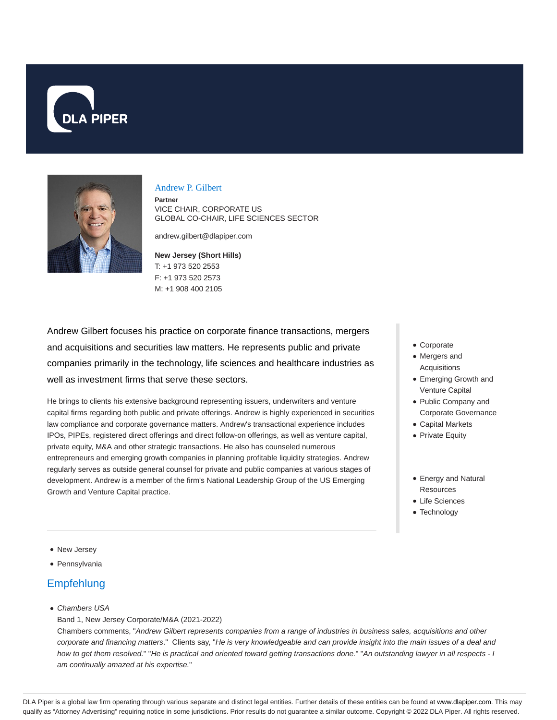



### Andrew P. Gilbert

**Partner** VICE CHAIR, CORPORATE US GLOBAL CO-CHAIR, LIFE SCIENCES SECTOR

andrew.gilbert@dlapiper.com

### **New Jersey (Short Hills)** T: +1 973 520 2553 F: +1 973 520 2573 M: +1 908 400 2105

Andrew Gilbert focuses his practice on corporate finance transactions, mergers and acquisitions and securities law matters. He represents public and private companies primarily in the technology, life sciences and healthcare industries as well as investment firms that serve these sectors.

He brings to clients his extensive background representing issuers, underwriters and venture capital firms regarding both public and private offerings. Andrew is highly experienced in securities law compliance and corporate governance matters. Andrew's transactional experience includes IPOs, PIPEs, registered direct offerings and direct follow-on offerings, as well as venture capital, private equity, M&A and other strategic transactions. He also has counseled numerous entrepreneurs and emerging growth companies in planning profitable liquidity strategies. Andrew regularly serves as outside general counsel for private and public companies at various stages of development. Andrew is a member of the firm's National Leadership Group of the US Emerging Growth and Venture Capital practice.

- Corporate
- Mergers and Acquisitions
- Emerging Growth and Venture Capital
- Public Company and Corporate Governance
- Capital Markets
- Private Equity
- Energy and Natural **Resources**
- Life Sciences
- Technology

- New Jersey
- Pennsylvania

# **Empfehlung**

Chambers USA

Band 1, New Jersey Corporate/M&A (2021-2022)

Chambers comments, "Andrew Gilbert represents companies from a range of industries in business sales, acquisitions and other corporate and financing matters." Clients say, "He is very knowledgeable and can provide insight into the main issues of a deal and how to get them resolved." "He is practical and oriented toward getting transactions done." "An outstanding lawyer in all respects - I am continually amazed at his expertise."

DLA Piper is a global law firm operating through various separate and distinct legal entities. Further details of these entities can be found at www.dlapiper.com. This may qualify as "Attorney Advertising" requiring notice in some jurisdictions. Prior results do not guarantee a similar outcome. Copyright © 2022 DLA Piper. All rights reserved.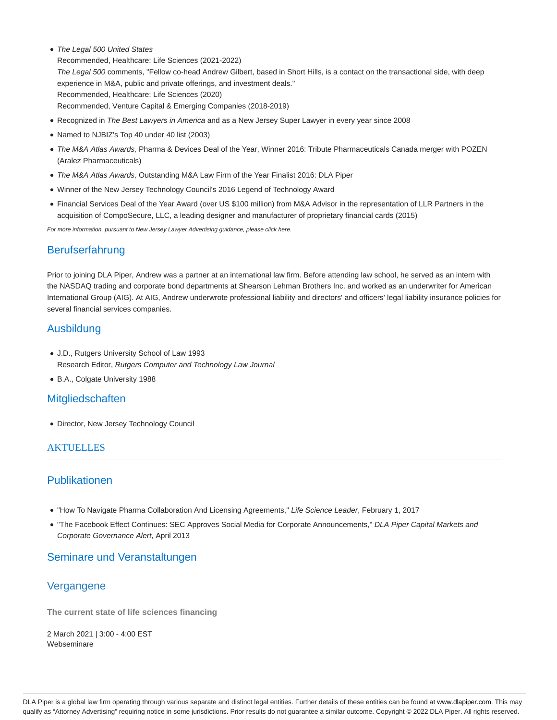• The Legal 500 United States

Recommended, Healthcare: Life Sciences (2021-2022) The Legal 500 comments, "Fellow co-head Andrew Gilbert, based in Short Hills, is a contact on the transactional side, with deep experience in M&A, public and private offerings, and investment deals." Recommended, Healthcare: Life Sciences (2020) Recommended, Venture Capital & Emerging Companies (2018-2019)

- Recognized in The Best Lawyers in America and as a New Jersey Super Lawyer in every year since 2008
- Named to NJBIZ's Top 40 under 40 list (2003)
- . The M&A Atlas Awards, Pharma & Devices Deal of the Year, Winner 2016: Tribute Pharmaceuticals Canada merger with POZEN (Aralez Pharmaceuticals)
- The M&A Atlas Awards, Outstanding M&A Law Firm of the Year Finalist 2016: DLA Piper
- Winner of the New Jersey Technology Council's 2016 Legend of Technology Award
- Financial Services Deal of the Year Award (over US \$100 million) from M&A Advisor in the representation of LLR Partners in the acquisition of CompoSecure, LLC, a leading designer and manufacturer of proprietary financial cards (2015)

For more information, pursuant to New Jersey Lawyer Advertising guidance, please click here.

# Berufserfahrung

Prior to joining DLA Piper, Andrew was a partner at an international law firm. Before attending law school, he served as an intern with the NASDAQ trading and corporate bond departments at Shearson Lehman Brothers Inc. and worked as an underwriter for American International Group (AIG). At AIG, Andrew underwrote professional liability and directors' and officers' legal liability insurance policies for several financial services companies.

# Ausbildung

- J.D., Rutgers University School of Law 1993 Research Editor, Rutgers Computer and Technology Law Journal
- B.A., Colgate University 1988

# **Mitgliedschaften**

Director, New Jersey Technology Council

# AKTUELLES

# Publikationen

- . "How To Navigate Pharma Collaboration And Licensing Agreements," Life Science Leader, February 1, 2017
- . "The Facebook Effect Continues: SEC Approves Social Media for Corporate Announcements," DLA Piper Capital Markets and Corporate Governance Alert, April 2013

# Seminare und Veranstaltungen

# **Vergangene**

**The current state of life sciences financing**

2 March 2021 | 3:00 - 4:00 EST Webseminare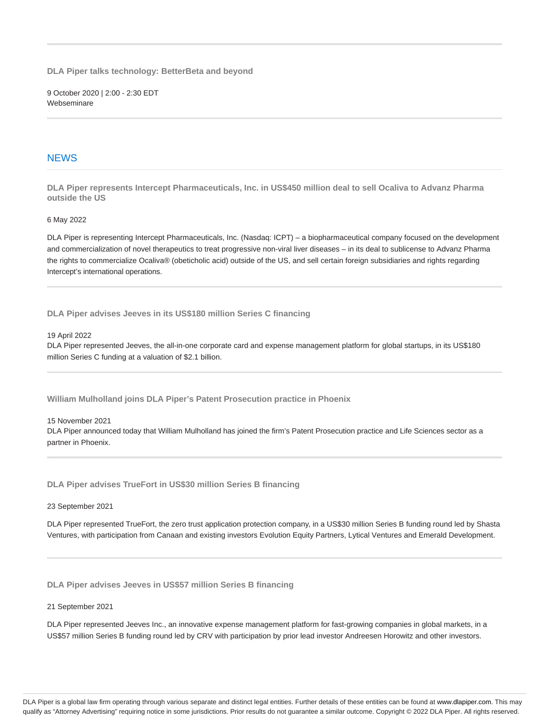**DLA Piper talks technology: BetterBeta and beyond**

9 October 2020 | 2:00 - 2:30 EDT Webseminare

### **NEWS**

**DLA Piper represents Intercept Pharmaceuticals, Inc. in US\$450 million deal to sell Ocaliva to Advanz Pharma outside the US**

### 6 May 2022

DLA Piper is representing Intercept Pharmaceuticals, Inc. (Nasdaq: ICPT) – a biopharmaceutical company focused on the development and commercialization of novel therapeutics to treat progressive non-viral liver diseases – in its deal to sublicense to Advanz Pharma the rights to commercialize Ocaliva® (obeticholic acid) outside of the US, and sell certain foreign subsidiaries and rights regarding Intercept's international operations.

**DLA Piper advises Jeeves in its US\$180 million Series C financing**

### 19 April 2022

DLA Piper represented Jeeves, the all-in-one corporate card and expense management platform for global startups, in its US\$180 million Series C funding at a valuation of \$2.1 billion.

**William Mulholland joins DLA Piper's Patent Prosecution practice in Phoenix**

### 15 November 2021

DLA Piper announced today that William Mulholland has joined the firm's Patent Prosecution practice and Life Sciences sector as a partner in Phoenix.

**DLA Piper advises TrueFort in US\$30 million Series B financing**

#### 23 September 2021

DLA Piper represented TrueFort, the zero trust application protection company, in a US\$30 million Series B funding round led by Shasta Ventures, with participation from Canaan and existing investors Evolution Equity Partners, Lytical Ventures and Emerald Development.

**DLA Piper advises Jeeves in US\$57 million Series B financing**

#### 21 September 2021

DLA Piper represented Jeeves Inc., an innovative expense management platform for fast-growing companies in global markets, in a US\$57 million Series B funding round led by CRV with participation by prior lead investor Andreesen Horowitz and other investors.